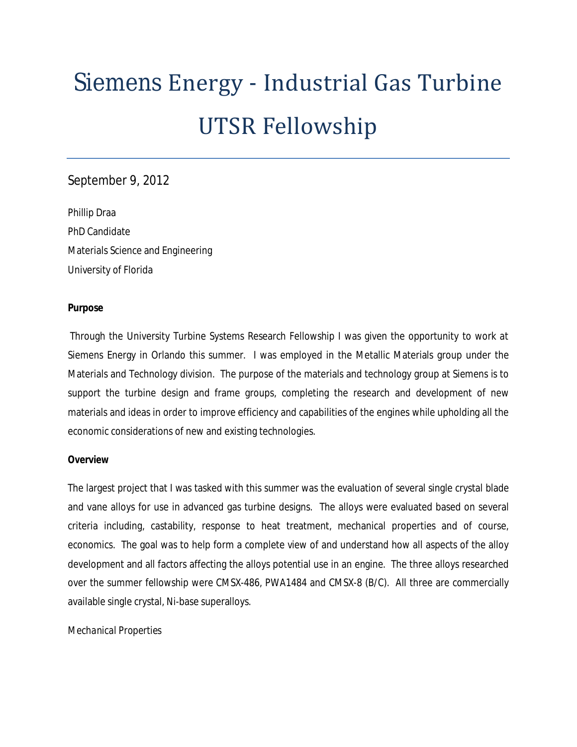# Siemens Energy - Industrial Gas Turbine UTSR Fellowship

## September 9, 2012

Phillip Draa PhD Candidate Materials Science and Engineering University of Florida

## **Purpose**

Through the University Turbine Systems Research Fellowship I was given the opportunity to work at Siemens Energy in Orlando this summer. I was employed in the Metallic Materials group under the Materials and Technology division. The purpose of the materials and technology group at Siemens is to support the turbine design and frame groups, completing the research and development of new materials and ideas in order to improve efficiency and capabilities of the engines while upholding all the economic considerations of new and existing technologies.

## **Overview**

The largest project that I was tasked with this summer was the evaluation of several single crystal blade and vane alloys for use in advanced gas turbine designs. The alloys were evaluated based on several criteria including, castability, response to heat treatment, mechanical properties and of course, economics. The goal was to help form a complete view of and understand how all aspects of the alloy development and all factors affecting the alloys potential use in an engine. The three alloys researched over the summer fellowship were CMSX-486, PWA1484 and CMSX-8 (B/C). All three are commercially available single crystal, Ni-base superalloys.

## *Mechanical Properties*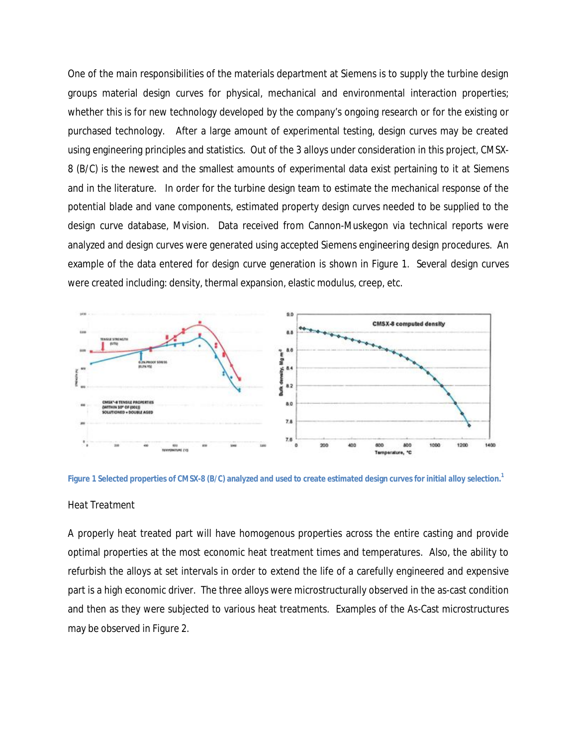One of the main responsibilities of the materials department at Siemens is to supply the turbine design groups material design curves for physical, mechanical and environmental interaction properties; whether this is for new technology developed by the company's ongoing research or for the existing or purchased technology. After a large amount of experimental testing, design curves may be created using engineering principles and statistics. Out of the 3 alloys under consideration in this project, CMSX-8 (B/C) is the newest and the smallest amounts of experimental data exist pertaining to it at Siemens and in the literature. In order for the turbine design team to estimate the mechanical response of the potential blade and vane components, estimated property design curves needed to be supplied to the design curve database, Mvision. Data received from Cannon-Muskegon via technical reports were analyzed and design curves were generated using accepted Siemens engineering design procedures. An example of the data entered for design curve generation is shown in Figure 1. Several design curves were created including: density, thermal expansion, elastic modulus, creep, etc.





#### *Heat Treatment*

A properly heat treated part will have homogenous properties across the entire casting and provide optimal properties at the most economic heat treatment times and temperatures. Also, the ability to refurbish the alloys at set intervals in order to extend the life of a carefully engineered and expensive part is a high economic driver. The three alloys were microstructurally observed in the as-cast condition and then as they were subjected to various heat treatments. Examples of the As-Cast microstructures may be observed in Figure 2.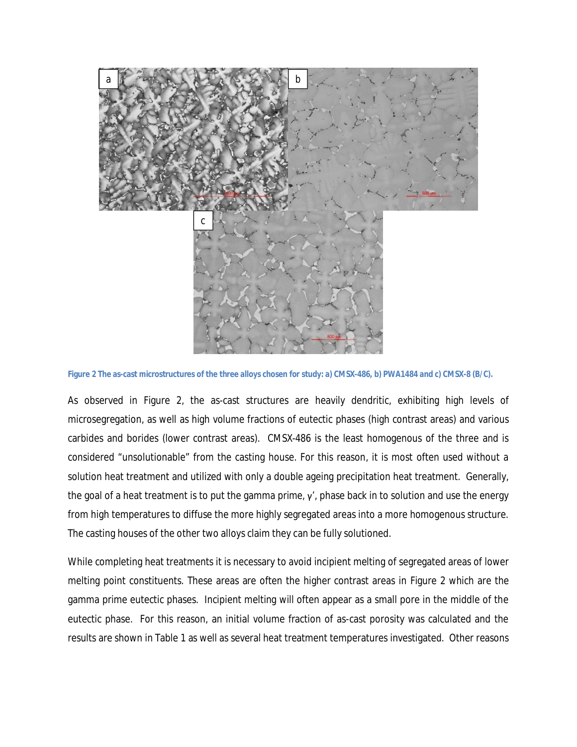

**Figure 2 The as-cast microstructures of the three alloys chosen for study: a) CMSX-486, b) PWA1484 and c) CMSX-8 (B/C).**

As observed in Figure 2, the as-cast structures are heavily dendritic, exhibiting high levels of microsegregation, as well as high volume fractions of eutectic phases (high contrast areas) and various carbides and borides (lower contrast areas). CMSX-486 is the least homogenous of the three and is considered "unsolutionable" from the casting house. For this reason, it is most often used without a solution heat treatment and utilized with only a double ageing precipitation heat treatment. Generally, the goal of a heat treatment is to put the gamma prime,  $\gamma'$ , phase back in to solution and use the energy from high temperatures to diffuse the more highly segregated areas into a more homogenous structure. The casting houses of the other two alloys claim they can be fully solutioned.

While completing heat treatments it is necessary to avoid incipient melting of segregated areas of lower melting point constituents. These areas are often the higher contrast areas in Figure 2 which are the gamma prime eutectic phases. Incipient melting will often appear as a small pore in the middle of the eutectic phase. For this reason, an initial volume fraction of as-cast porosity was calculated and the results are shown in Table 1 as well as several heat treatment temperatures investigated. Other reasons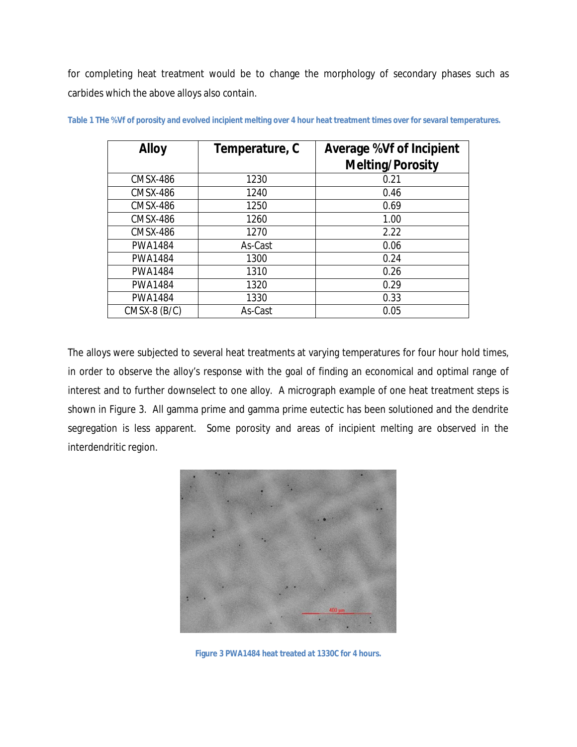for completing heat treatment would be to change the morphology of secondary phases such as carbides which the above alloys also contain.

| <b>Alloy</b>    | Temperature, C | <b>Average %Vf of Incipient</b><br><b>Melting/Porosity</b> |
|-----------------|----------------|------------------------------------------------------------|
| <b>CMSX-486</b> | 1230           | 0.21                                                       |
| <b>CMSX-486</b> | 1240           | 0.46                                                       |
| <b>CMSX-486</b> | 1250           | 0.69                                                       |
| <b>CMSX-486</b> | 1260           | 1.00                                                       |
| <b>CMSX-486</b> | 1270           | 2.22                                                       |
| <b>PWA1484</b>  | As-Cast        | 0.06                                                       |
| <b>PWA1484</b>  | 1300           | 0.24                                                       |
| <b>PWA1484</b>  | 1310           | 0.26                                                       |
| <b>PWA1484</b>  | 1320           | 0.29                                                       |
| <b>PWA1484</b>  | 1330           | 0.33                                                       |
| $CMSX-8$ (B/C)  | As-Cast        | 0.05                                                       |

**Table 1 THe %Vf of porosity and evolved incipient melting over 4 hour heat treatment times over for sevaral temperatures.**

The alloys were subjected to several heat treatments at varying temperatures for four hour hold times, in order to observe the alloy's response with the goal of finding an economical and optimal range of interest and to further downselect to one alloy. A micrograph example of one heat treatment steps is shown in Figure 3. All gamma prime and gamma prime eutectic has been solutioned and the dendrite segregation is less apparent. Some porosity and areas of incipient melting are observed in the interdendritic region.



**Figure 3 PWA1484 heat treated at 1330C for 4 hours.**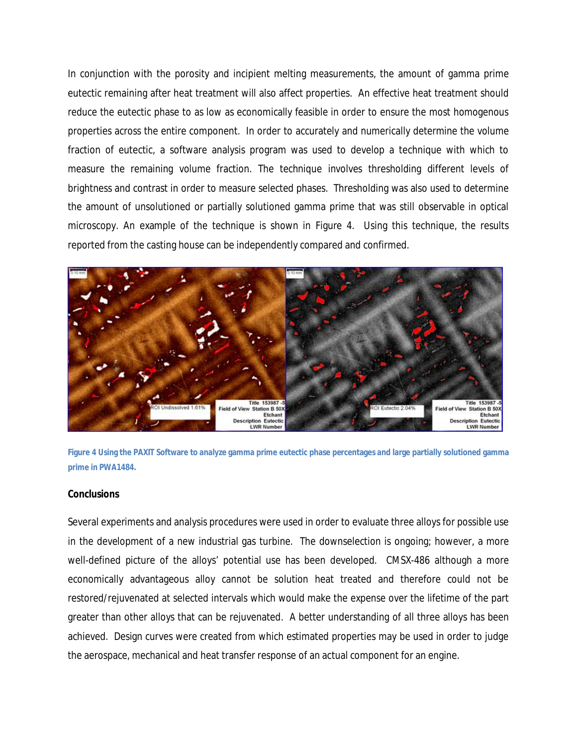In conjunction with the porosity and incipient melting measurements, the amount of gamma prime eutectic remaining after heat treatment will also affect properties. An effective heat treatment should reduce the eutectic phase to as low as economically feasible in order to ensure the most homogenous properties across the entire component. In order to accurately and numerically determine the volume fraction of eutectic, a software analysis program was used to develop a technique with which to measure the remaining volume fraction. The technique involves thresholding different levels of brightness and contrast in order to measure selected phases. Thresholding was also used to determine the amount of unsolutioned or partially solutioned gamma prime that was still observable in optical microscopy. An example of the technique is shown in Figure 4. Using this technique, the results reported from the casting house can be independently compared and confirmed.





#### **Conclusions**

Several experiments and analysis procedures were used in order to evaluate three alloys for possible use in the development of a new industrial gas turbine. The downselection is ongoing; however, a more well-defined picture of the alloys' potential use has been developed. CMSX-486 although a more economically advantageous alloy cannot be solution heat treated and therefore could not be restored/rejuvenated at selected intervals which would make the expense over the lifetime of the part greater than other alloys that can be rejuvenated. A better understanding of all three alloys has been achieved. Design curves were created from which estimated properties may be used in order to judge the aerospace, mechanical and heat transfer response of an actual component for an engine.